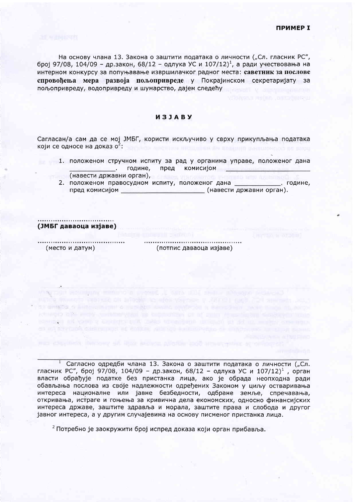На основу члана 13. Закона о заштити података о личности ("Сл. гласник РС", број 97/08, 104/09 - др.закон, 68/12 - одлука УС и 107/12)<sup>1</sup>, а ради учествовања на интерном конкурсу за попуњавање извршилачког радног места: саветник за послове спровођења мера развоја пољопривреде у Покрајинском секретаријату за пољопривреду, водопривреду и шумарство, дајем следећу

## *M3JABY*

Сагласан/а сам да се мој ЈМБГ, користи искључиво у сврху прикупљања података који се односе на доказ о<sup>2</sup>:

- 1. положеном стручном испиту за рад у органима управе, положеног дана комисијом риме, предине, пред (навести државни орган),
	- 2. положеном правосудном испиту, положеног дана \_\_\_\_\_\_\_\_\_\_\_\_\_. године, пред комисијом (навести државни орган).

(ЈМБГ даваоца изјаве)

(место и датум)

(потпис даваоца изјаве)

<sup>1</sup> Сагласно одредби члана 13. Закона о заштити података о личности ("Сл. гласник РС", број 97/08, 104/09 - др.закон, 68/12 - одлука УС и 107/12)<sup>1</sup>, орган власти обрађује податке без пристанка лица, ако је обрада неопходна ради обављања послова из своје надлежности одређених Законом у циљу остваривања интереса националне или јавне безбедности, одбране земље, спречавања, откривања, истраге и гоњења за кривична дела економских, односно финансијских интереса државе, заштите здравља и морала, заштите права и слобода и другог јавног интереса, а у другим случајевима на основу писменог пристанка лица.

IT CHARGE & EURING STRIKE THROUGH SHARE SHARES IN A COUNTY HAN COME HE ARTIkatheting officer and a statement of the factor of a straight of the Almo factor Conductor Channel contact of your a concept of most uncertaint under at at an embry creament

<sup>2</sup> Потребно је заокружити број испред доказа који орган прибавља.

Bay held, threspire all liber records purchas post among writer accordi-